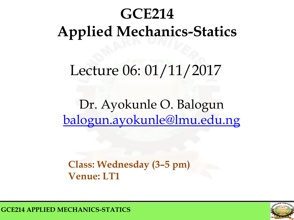# **GCE214 Applied Mechanics-Statics**

# Lecture 06: 01/11/2017

# Dr. Ayokunle O. Balogun [balogun.ayokunle@lmu.edu.ng](mailto:ayokunle.balogu@elizadeuniversity.edu.ng)

#### **Class: Wednesday (3–5 pm) Venue: LT1**



**GCE214 APPLIED MECHANICS-STATICS**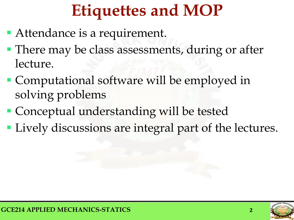# **Etiquettes and MOP**

- Attendance is a requirement.
- **There may be class assessments, during or after** lecture.
- **Computational software will be employed in** solving problems
- Conceptual understanding will be tested
- **Lively discussions are integral part of the lectures.**

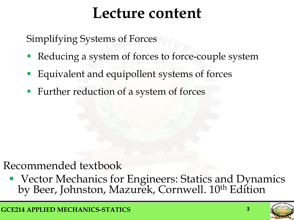# **Lecture content**

Simplifying Systems of Forces

- Reducing a system of forces to force-couple system
- Equivalent and equipollent systems of forces
- Further reduction of a system of forces

# Recommended textbook

**• Vector Mechanics for Engineers: Statics and Dyna[m](mailto:isaac.afara@elizadeuniversity.edu.ng)ics** by Beer, Johnston, Mazurek, Cornwell. 10<sup>th</sup> Edition

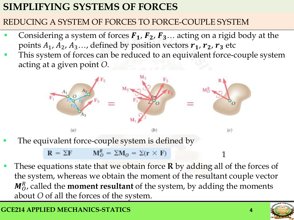#### REDUCING A SYSTEM OF FORCES TO FORCE-COUPLE SYSTEM

- Considering a system of forces  $F_1$ ,  $F_2$ ,  $F_3$ ... acting on a rigid body at the points  $A_1$ ,  $A_2$ ,  $A_3$ ..., defined by position vectors  $r_1$ ,  $r_2$ ,  $r_3$  etc
- This system of forces can be reduced to an equivalent force-couple system acting at a given point *O.*



The equivalent force-couple system is defined by

$$
\mathbf{R} = \Sigma \mathbf{F} \qquad \mathbf{M}_0^R = \Sigma \mathbf{M}_0 = \Sigma (\mathbf{r} \times \mathbf{F}) \qquad \qquad \mathbf{1}
$$

 These equations state that we obtain force **R** by adding all of the forces of the system, whereas we obtain the moment of the resultant couple vector M<sub>0</sub>, called the **moment resultant** of the system, by adding the moments about *O* of all the forces of the system.

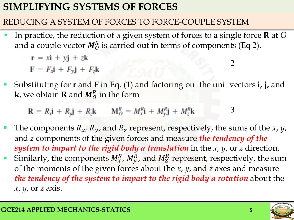#### REDUCING A SYSTEM OF FORCES TO FORCE-COUPLE SYSTEM

 In practice, the reduction of a given system of forces to a single force **R** at *O*  and a couple vector  $M_0^R$  is carried out in terms of components (Eq 2).

$$
r = x\mathbf{i} + y\mathbf{j} + z\mathbf{k}
$$
  

$$
F = F_x\mathbf{i} + F_y\mathbf{j} + F_z\mathbf{k}
$$

 Substituting for **r** and **F** in Eq. (1) and factoring out the unit vectors **i, j,** and **k**, we obtain **R** and  $M_0^R$  in the form

$$
\mathbf{R} = R_x \mathbf{i} + R_y \mathbf{j} + R_z \mathbf{k} \qquad \mathbf{M}_O^R = M_x^R \mathbf{i} + M_y^R \mathbf{j} + M_z^R \mathbf{k} \qquad 3
$$

- The components  $R_x$ ,  $R_y$ , and  $R_z$  represent, respectively, the sums of the *x*, *y*, and *z* components of the given forces and measure *the tendency of the system to impart to the rigid body a translation* in the *x, y*, or *z* direction. Similarly, the components  $M_x^R$ ,  $M_y^R$ , and  $M_z^R$  represent, respectively, the sum
	- of the moments of the given forces about the *x*, *y*, and *z* axes and measure *the tendency of the system to impart to the rigid body a rotation* about the *x*, *y*, or *z* axis.



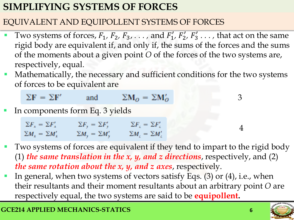#### EQUIVALENT AND EQUIPOLLENT SYSTEMS OF FORCES

- Two systems of forces,  $F_1$ ,  $F_2$ ,  $F_3$ ,  $\ldots$ , and  $F'_1$ ,  $F'_2$ ,  $F'_3$   $\ldots$ , that act on the same rigid body are equivalent if, and only if, the sums of the forces and the sums of the moments about a given point *O* of the forces of the two systems are, respectively, equal*.*
- Mathematically, the necessary and sufficient conditions for the two systems of forces to be equivalent are

$$
\Sigma \mathbf{F} = \Sigma \mathbf{F}'
$$
 and  $\Sigma \mathbf{M}_0 = \Sigma \mathbf{M}'_0$ 

In components form Eq. 3 yields

| $\Sigma F_{\star} = \Sigma F'_{\star}$ | $\Sigma F_{\rm v} = \Sigma F_{\rm v}'$ | $\sum F_i = \sum F'_i$            |
|----------------------------------------|----------------------------------------|-----------------------------------|
| $\Sigma M_x = \Sigma M'_x$             | $\Sigma M_{\rm y} = \Sigma M_{\rm y}'$ | $\sum M_{\rm z} = \sum M_{\rm z}$ |

- Two systems of forces are equivalent if they tend to impart to the rigid body (1) *the same translation in the x, y, and z directions*, respectively, and (2) *the same rotation about the x, y, and z axes*, respectively.
- In general, when two systems of vectors satisfy Eqs. (3) or (4), i.e., when their resultants and their moment resultants about an arbitrary point *O* are respectively equal, the two systems are said to be **equipollent.**

3

4

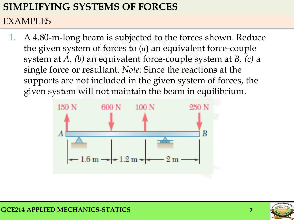#### EXAMPLES

A 4.80-m-long beam is subjected to the forces shown. Reduce the given system of forces to (*a*) an equivalent force-couple system at *A, (b)* an equivalent force-couple system at *B, (c)* a single force or resultant. *Note:* Since the reactions at the supports are not included in the given system of forces, the given system will not maintain the beam in equilibrium.